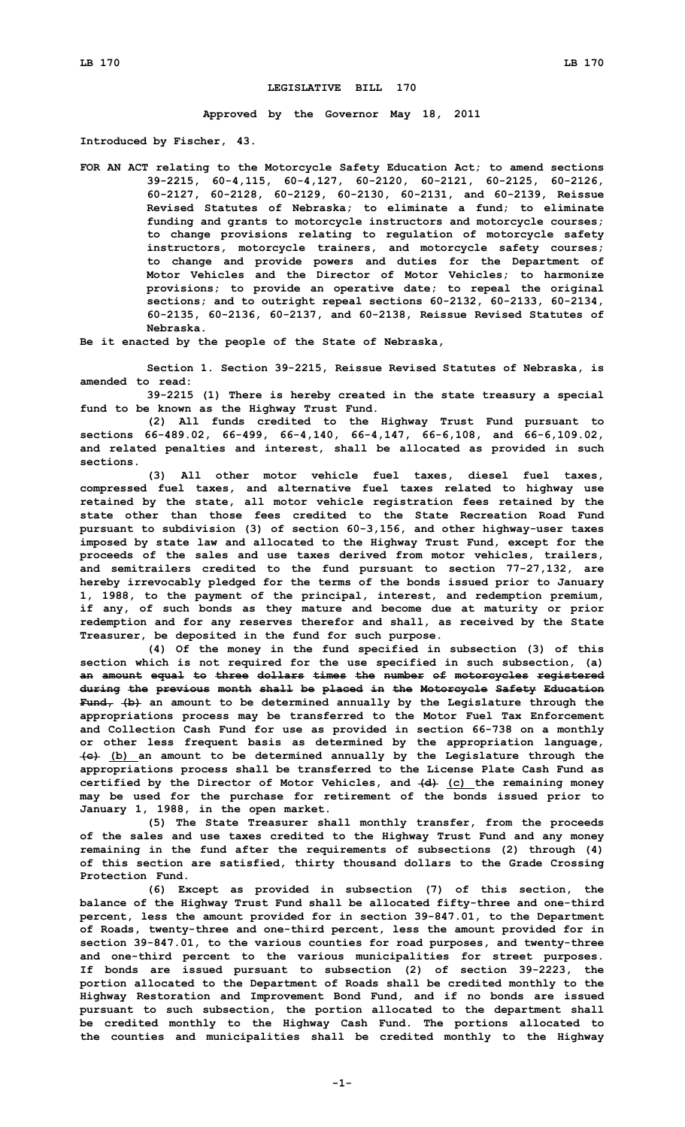## **LEGISLATIVE BILL 170**

**Approved by the Governor May 18, 2011**

**Introduced by Fischer, 43.**

**FOR AN ACT relating to the Motorcycle Safety Education Act; to amend sections 39-2215, 60-4,115, 60-4,127, 60-2120, 60-2121, 60-2125, 60-2126, 60-2127, 60-2128, 60-2129, 60-2130, 60-2131, and 60-2139, Reissue Revised Statutes of Nebraska; to eliminate <sup>a</sup> fund; to eliminate funding and grants to motorcycle instructors and motorcycle courses; to change provisions relating to regulation of motorcycle safety instructors, motorcycle trainers, and motorcycle safety courses; to change and provide powers and duties for the Department of Motor Vehicles and the Director of Motor Vehicles; to harmonize provisions; to provide an operative date; to repeal the original sections; and to outright repeal sections 60-2132, 60-2133, 60-2134, 60-2135, 60-2136, 60-2137, and 60-2138, Reissue Revised Statutes of Nebraska.**

**Be it enacted by the people of the State of Nebraska,**

**Section 1. Section 39-2215, Reissue Revised Statutes of Nebraska, is amended to read:**

**39-2215 (1) There is hereby created in the state treasury <sup>a</sup> special fund to be known as the Highway Trust Fund.**

**(2) All funds credited to the Highway Trust Fund pursuant to sections 66-489.02, 66-499, 66-4,140, 66-4,147, 66-6,108, and 66-6,109.02, and related penalties and interest, shall be allocated as provided in such sections.**

**(3) All other motor vehicle fuel taxes, diesel fuel taxes, compressed fuel taxes, and alternative fuel taxes related to highway use retained by the state, all motor vehicle registration fees retained by the state other than those fees credited to the State Recreation Road Fund pursuant to subdivision (3) of section 60-3,156, and other highway-user taxes imposed by state law and allocated to the Highway Trust Fund, except for the proceeds of the sales and use taxes derived from motor vehicles, trailers, and semitrailers credited to the fund pursuant to section 77-27,132, are hereby irrevocably pledged for the terms of the bonds issued prior to January 1, 1988, to the payment of the principal, interest, and redemption premium, if any, of such bonds as they mature and become due at maturity or prior redemption and for any reserves therefor and shall, as received by the State Treasurer, be deposited in the fund for such purpose.**

**(4) Of the money in the fund specified in subsection (3) of this section which is not required for the use specified in such subsection, (a) an amount equal to three dollars times the number of motorcycles registered during the previous month shall be placed in the Motorcycle Safety Education Fund, (b) an amount to be determined annually by the Legislature through the appropriations process may be transferred to the Motor Fuel Tax Enforcement and Collection Cash Fund for use as provided in section 66-738 on <sup>a</sup> monthly or other less frequent basis as determined by the appropriation language, (c) (b) an amount to be determined annually by the Legislature through the appropriations process shall be transferred to the License Plate Cash Fund as certified by the Director of Motor Vehicles, and (d) (c) the remaining money may be used for the purchase for retirement of the bonds issued prior to January 1, 1988, in the open market.**

**(5) The State Treasurer shall monthly transfer, from the proceeds of the sales and use taxes credited to the Highway Trust Fund and any money remaining in the fund after the requirements of subsections (2) through (4) of this section are satisfied, thirty thousand dollars to the Grade Crossing Protection Fund.**

**(6) Except as provided in subsection (7) of this section, the balance of the Highway Trust Fund shall be allocated fifty-three and one-third percent, less the amount provided for in section 39-847.01, to the Department of Roads, twenty-three and one-third percent, less the amount provided for in section 39-847.01, to the various counties for road purposes, and twenty-three and one-third percent to the various municipalities for street purposes. If bonds are issued pursuant to subsection (2) of section 39-2223, the portion allocated to the Department of Roads shall be credited monthly to the Highway Restoration and Improvement Bond Fund, and if no bonds are issued pursuant to such subsection, the portion allocated to the department shall be credited monthly to the Highway Cash Fund. The portions allocated to the counties and municipalities shall be credited monthly to the Highway**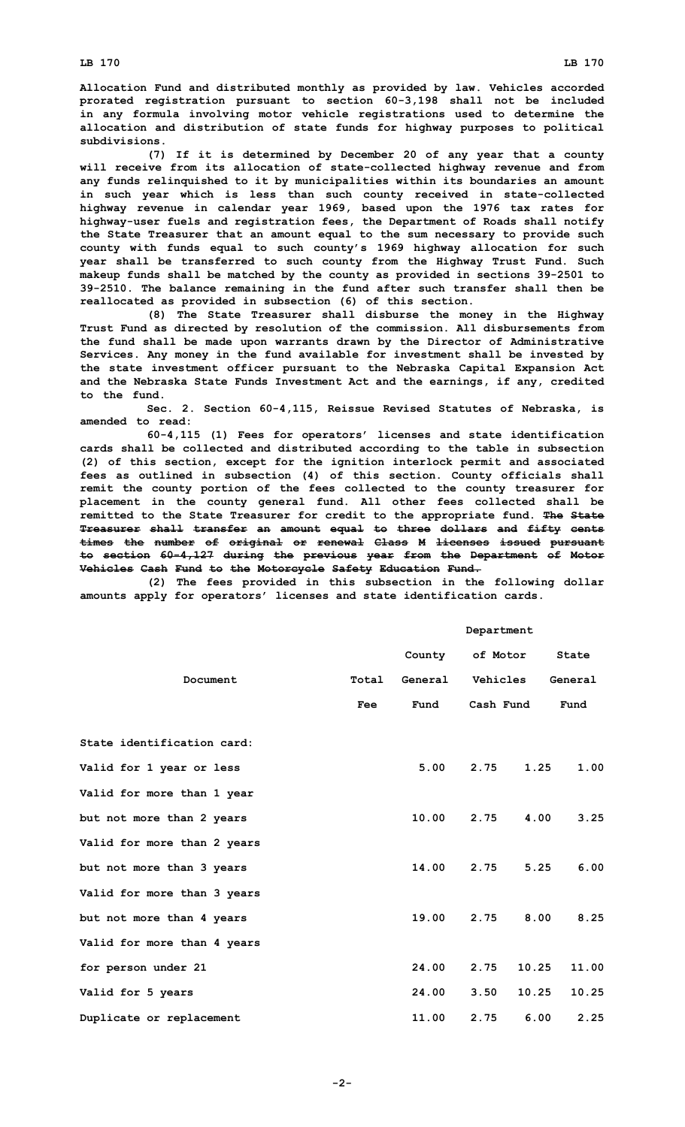**Allocation Fund and distributed monthly as provided by law. Vehicles accorded prorated registration pursuant to section 60-3,198 shall not be included in any formula involving motor vehicle registrations used to determine the allocation and distribution of state funds for highway purposes to political subdivisions.**

**(7) If it is determined by December 20 of any year that <sup>a</sup> county will receive from its allocation of state-collected highway revenue and from any funds relinquished to it by municipalities within its boundaries an amount in such year which is less than such county received in state-collected highway revenue in calendar year 1969, based upon the 1976 tax rates for highway-user fuels and registration fees, the Department of Roads shall notify the State Treasurer that an amount equal to the sum necessary to provide such county with funds equal to such county's 1969 highway allocation for such year shall be transferred to such county from the Highway Trust Fund. Such makeup funds shall be matched by the county as provided in sections 39-2501 to 39-2510. The balance remaining in the fund after such transfer shall then be reallocated as provided in subsection (6) of this section.**

**(8) The State Treasurer shall disburse the money in the Highway Trust Fund as directed by resolution of the commission. All disbursements from the fund shall be made upon warrants drawn by the Director of Administrative Services. Any money in the fund available for investment shall be invested by the state investment officer pursuant to the Nebraska Capital Expansion Act and the Nebraska State Funds Investment Act and the earnings, if any, credited to the fund.**

**Sec. 2. Section 60-4,115, Reissue Revised Statutes of Nebraska, is amended to read:**

**60-4,115 (1) Fees for operators' licenses and state identification cards shall be collected and distributed according to the table in subsection (2) of this section, except for the ignition interlock permit and associated fees as outlined in subsection (4) of this section. County officials shall remit the county portion of the fees collected to the county treasurer for placement in the county general fund. All other fees collected shall be remitted to the State Treasurer for credit to the appropriate fund. The State Treasurer shall transfer an amount equal to three dollars and fifty cents times the number of original or renewal Class M licenses issued pursuant to section 60-4,127 during the previous year from the Department of Motor Vehicles Cash Fund to the Motorcycle Safety Education Fund.**

**(2) The fees provided in this subsection in the following dollar amounts apply for operators' licenses and state identification cards.**

|                             |       | Department      |          |           |         |
|-----------------------------|-------|-----------------|----------|-----------|---------|
|                             |       | County of Motor |          |           | State   |
| Document                    | Total | General         | Vehicles |           | General |
|                             | Fee   | Fund            |          | Cash Fund | Fund    |
| State identification card:  |       |                 |          |           |         |
| Valid for 1 year or less    |       | 5.00            | 2.75     | 1.25      | 1.00    |
| Valid for more than 1 year  |       |                 |          |           |         |
| but not more than 2 years   |       | 10.00           | 2.75     | 4.00      | 3.25    |
| Valid for more than 2 years |       |                 |          |           |         |
| but not more than 3 years   |       | 14.00           | 2.75     | 5.25      | 6.00    |
| Valid for more than 3 years |       |                 |          |           |         |
| but not more than 4 years   |       | 19.00           |          | 2.75 8.00 | 8.25    |
| Valid for more than 4 years |       |                 |          |           |         |
| for person under 21         |       | 24.00           | 2.75     | 10.25     | 11.00   |
| Valid for 5 years           |       | 24.00           | 3.50     | 10.25     | 10.25   |
| Duplicate or replacement    |       | 11.00           | 2.75     | 6.00      | 2.25    |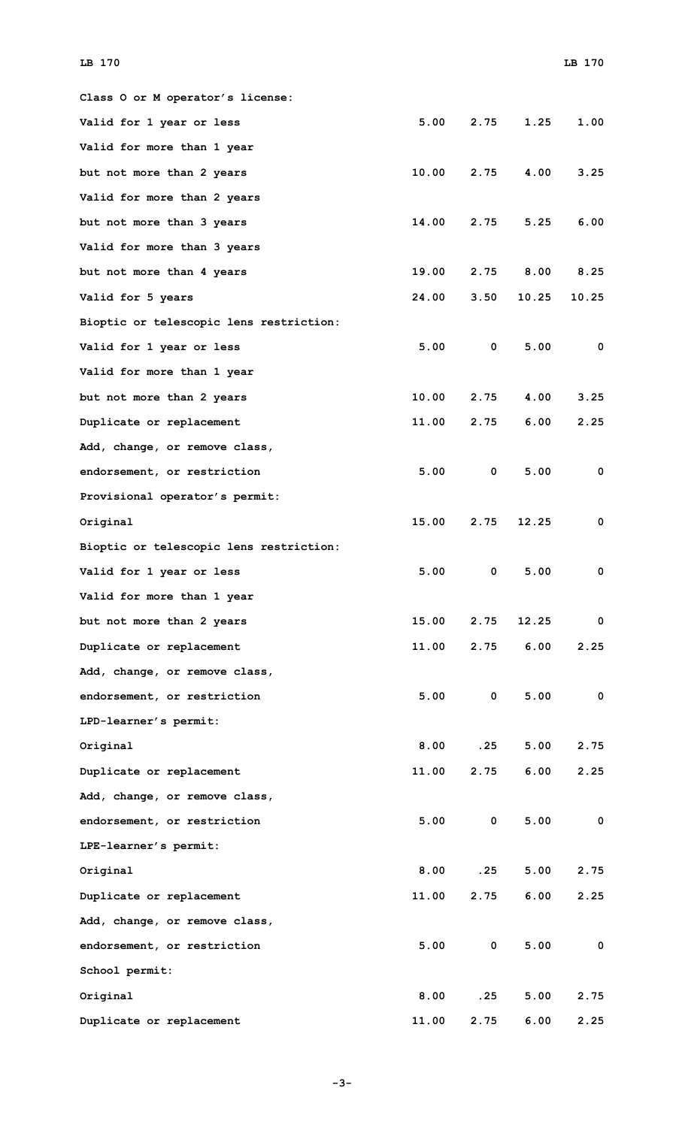| Class O or M operator's license:        |       |              |       |             |
|-----------------------------------------|-------|--------------|-------|-------------|
| Valid for 1 year or less                | 5.00  | 2.75         | 1.25  | 1.00        |
| Valid for more than 1 year              |       |              |       |             |
| but not more than 2 years               | 10.00 | 2.75         | 4.00  | 3.25        |
| Valid for more than 2 years             |       |              |       |             |
| but not more than 3 years               | 14.00 | 2.75         | 5.25  | 6.00        |
| Valid for more than 3 years             |       |              |       |             |
| but not more than 4 years               | 19.00 | 2.75         | 8.00  | 8.25        |
| Valid for 5 years                       | 24.00 | 3.50         | 10.25 | 10.25       |
| Bioptic or telescopic lens restriction: |       |              |       |             |
| Valid for 1 year or less                | 5.00  | $\mathbf{0}$ | 5.00  | 0           |
| Valid for more than 1 year              |       |              |       |             |
| but not more than 2 years               | 10.00 | 2.75         | 4.00  | 3.25        |
| Duplicate or replacement                | 11.00 | 2.75         | 6.00  | 2.25        |
| Add, change, or remove class,           |       |              |       |             |
| endorsement, or restriction             | 5.00  | $\mathbf{0}$ | 5.00  | $\mathbf 0$ |
| Provisional operator's permit:          |       |              |       |             |
| Original                                | 15.00 | 2.75         | 12.25 | 0           |
| Bioptic or telescopic lens restriction: |       |              |       |             |
| Valid for 1 year or less                | 5.00  | $\mathbf{0}$ | 5.00  | 0           |
| Valid for more than 1 year              |       |              |       |             |
| but not more than 2 years               | 15.00 | 2.75         | 12.25 | 0           |
| Duplicate or replacement                | 11.00 | 2.75         | 6.00  | 2.25        |
| Add, change, or remove class,           |       |              |       |             |
| endorsement, or restriction             | 5.00  | $\mathbf{0}$ | 5.00  | 0           |
| LPD-learner's permit:                   |       |              |       |             |
| Original                                | 8.00  | .25          | 5.00  | 2.75        |
| Duplicate or replacement                | 11.00 | 2.75         | 6.00  | 2.25        |
| Add, change, or remove class,           |       |              |       |             |
| endorsement, or restriction             | 5.00  | $\mathbf 0$  | 5.00  | 0           |
| LPE-learner's permit:                   |       |              |       |             |
| Original                                | 8.00  | .25          | 5.00  | 2.75        |
| Duplicate or replacement                | 11.00 | 2.75         | 6.00  | 2.25        |
| Add, change, or remove class,           |       |              |       |             |
| endorsement, or restriction             | 5.00  | $\mathbf 0$  | 5.00  | 0           |
| School permit:                          |       |              |       |             |
| Original                                | 8.00  | .25          | 5.00  | 2.75        |
| Duplicate or replacement                | 11.00 | 2.75         | 6.00  | 2.25        |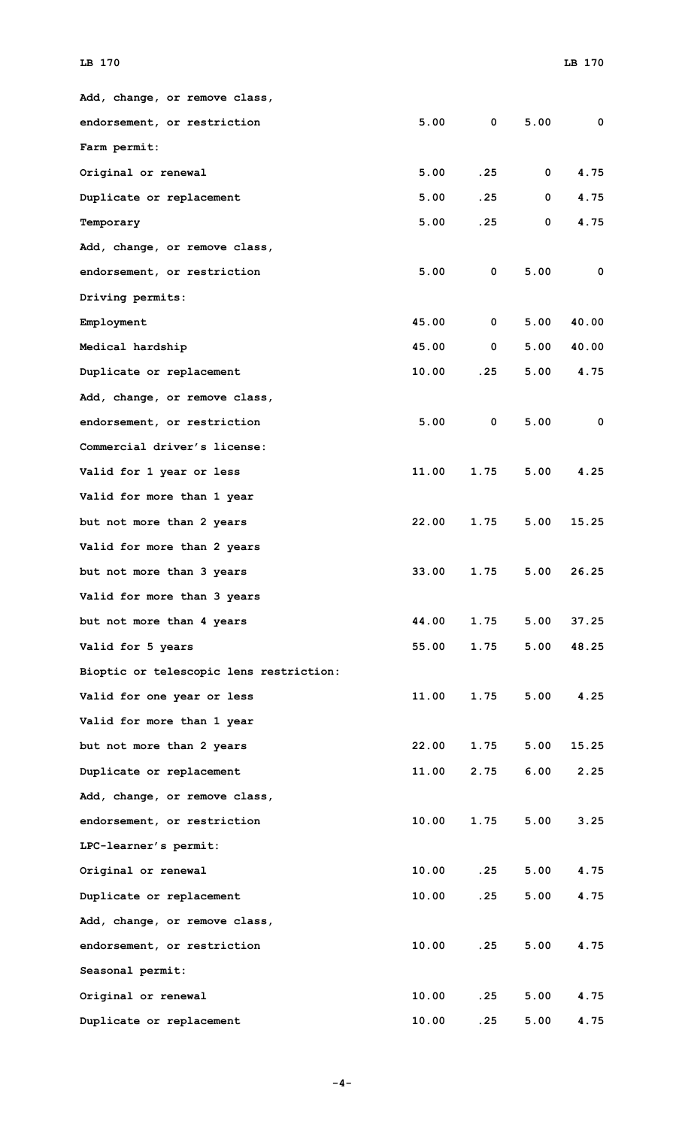| Add, change, or remove class,           |       |                         |              |             |
|-----------------------------------------|-------|-------------------------|--------------|-------------|
| endorsement, or restriction             | 5.00  | $\overline{\mathbf{0}}$ | 5.00         | $\mathbf 0$ |
| Farm permit:                            |       |                         |              |             |
| Original or renewal                     | 5.00  | .25                     | $\mathbf 0$  | 4.75        |
| Duplicate or replacement                | 5.00  | .25                     | $\mathbf{0}$ | 4.75        |
| Temporary                               | 5.00  | .25                     | 0            | 4.75        |
| Add, change, or remove class,           |       |                         |              |             |
| endorsement, or restriction             | 5.00  | $\mathbf 0$             | 5.00         | 0           |
| Driving permits:                        |       |                         |              |             |
| Employment                              | 45.00 | $\mathbf{0}$            | 5.00         | 40.00       |
| Medical hardship                        | 45.00 | $\mathbf{0}$            | 5.00         | 40.00       |
| Duplicate or replacement                | 10.00 | .25                     | 5.00         | 4.75        |
| Add, change, or remove class,           |       |                         |              |             |
| endorsement, or restriction             | 5.00  | $\mathbf 0$             | 5.00         | 0           |
| Commercial driver's license:            |       |                         |              |             |
| Valid for 1 year or less                | 11.00 | 1.75                    | 5.00         | 4.25        |
| Valid for more than 1 year              |       |                         |              |             |
| but not more than 2 years               | 22.00 | 1.75                    | 5.00         | 15.25       |
| Valid for more than 2 years             |       |                         |              |             |
| but not more than 3 years               | 33.00 | 1.75                    | 5.00         | 26.25       |
| Valid for more than 3 years             |       |                         |              |             |
| but not more than 4 years               | 44.00 | 1.75                    | 5.00         | 37.25       |
| Valid for 5 years                       | 55.00 | 1.75                    | 5.00         | 48.25       |
| Bioptic or telescopic lens restriction: |       |                         |              |             |
| Valid for one year or less              | 11.00 | 1.75                    | 5.00         | 4.25        |
| Valid for more than 1 year              |       |                         |              |             |
| but not more than 2 years               | 22.00 | 1.75                    | 5.00         | 15.25       |
| Duplicate or replacement                | 11.00 | 2.75                    | 6.00         | 2.25        |
| Add, change, or remove class,           |       |                         |              |             |
| endorsement, or restriction             | 10.00 | 1.75                    | 5.00         | 3.25        |
| LPC-learner's permit:                   |       |                         |              |             |
| Original or renewal                     | 10.00 | .25                     | 5.00         | 4.75        |
| Duplicate or replacement                | 10.00 | .25                     | 5.00         | 4.75        |
| Add, change, or remove class,           |       |                         |              |             |
| endorsement, or restriction             | 10.00 | .25                     | 5.00         | 4.75        |
| Seasonal permit:                        |       |                         |              |             |
| Original or renewal                     | 10.00 | .25                     | 5.00         | 4.75        |
| Duplicate or replacement                | 10.00 | .25                     | 5.00         | 4.75        |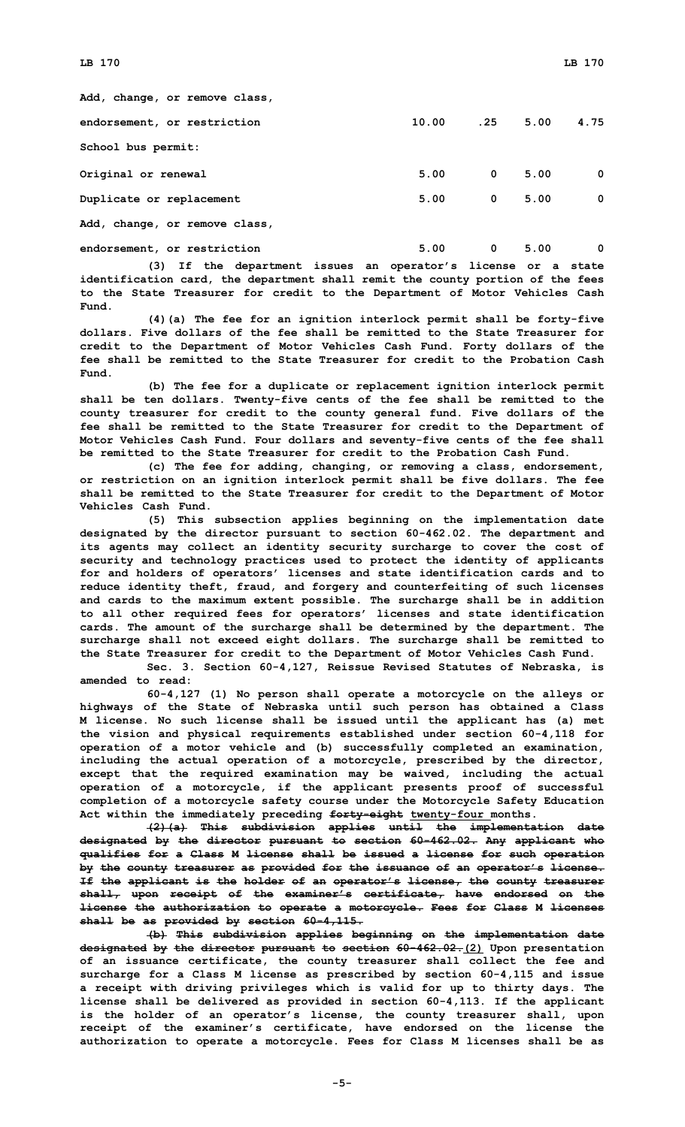| Add, change, or remove class, |       |                |      |             |
|-------------------------------|-------|----------------|------|-------------|
| endorsement, or restriction   | 10.00 | .25            | 5.00 | 4.75        |
| School bus permit:            |       |                |      |             |
| Original or renewal           | 5.00  | $\overline{0}$ | 5.00 | $\mathbf 0$ |
| Duplicate or replacement      | 5.00  | $\mathbf{0}$   | 5.00 | $\mathbf 0$ |
| Add, change, or remove class, |       |                |      |             |
| endorsement, or restriction   | 5.00  | 0              | 5.00 | $\mathbf 0$ |

**(3) If the department issues an operator's license or <sup>a</sup> state identification card, the department shall remit the county portion of the fees to the State Treasurer for credit to the Department of Motor Vehicles Cash Fund.**

**(4)(a) The fee for an ignition interlock permit shall be forty-five dollars. Five dollars of the fee shall be remitted to the State Treasurer for credit to the Department of Motor Vehicles Cash Fund. Forty dollars of the fee shall be remitted to the State Treasurer for credit to the Probation Cash Fund.**

**(b) The fee for <sup>a</sup> duplicate or replacement ignition interlock permit shall be ten dollars. Twenty-five cents of the fee shall be remitted to the county treasurer for credit to the county general fund. Five dollars of the fee shall be remitted to the State Treasurer for credit to the Department of Motor Vehicles Cash Fund. Four dollars and seventy-five cents of the fee shall be remitted to the State Treasurer for credit to the Probation Cash Fund.**

**(c) The fee for adding, changing, or removing <sup>a</sup> class, endorsement, or restriction on an ignition interlock permit shall be five dollars. The fee shall be remitted to the State Treasurer for credit to the Department of Motor Vehicles Cash Fund.**

**(5) This subsection applies beginning on the implementation date designated by the director pursuant to section 60-462.02. The department and its agents may collect an identity security surcharge to cover the cost of security and technology practices used to protect the identity of applicants for and holders of operators' licenses and state identification cards and to reduce identity theft, fraud, and forgery and counterfeiting of such licenses and cards to the maximum extent possible. The surcharge shall be in addition to all other required fees for operators' licenses and state identification cards. The amount of the surcharge shall be determined by the department. The surcharge shall not exceed eight dollars. The surcharge shall be remitted to the State Treasurer for credit to the Department of Motor Vehicles Cash Fund.**

**Sec. 3. Section 60-4,127, Reissue Revised Statutes of Nebraska, is amended to read:**

**60-4,127 (1) No person shall operate <sup>a</sup> motorcycle on the alleys or highways of the State of Nebraska until such person has obtained <sup>a</sup> Class <sup>M</sup> license. No such license shall be issued until the applicant has (a) met the vision and physical requirements established under section 60-4,118 for operation of <sup>a</sup> motor vehicle and (b) successfully completed an examination, including the actual operation of <sup>a</sup> motorcycle, prescribed by the director, except that the required examination may be waived, including the actual operation of <sup>a</sup> motorcycle, if the applicant presents proof of successful completion of <sup>a</sup> motorcycle safety course under the Motorcycle Safety Education Act within the immediately preceding forty-eight twenty-four months.**

**(2)(a) This subdivision applies until the implementation date designated by the director pursuant to section 60-462.02. Any applicant who qualifies for <sup>a</sup> Class M license shall be issued <sup>a</sup> license for such operation by the county treasurer as provided for the issuance of an operator's license. If the applicant is the holder of an operator's license, the county treasurer shall, upon receipt of the examiner's certificate, have endorsed on the license the authorization to operate <sup>a</sup> motorcycle. Fees for Class M licenses shall be as provided by section 60-4,115.**

**(b) This subdivision applies beginning on the implementation date designated by the director pursuant to section 60-462.02.(2) Upon presentation of an issuance certificate, the county treasurer shall collect the fee and surcharge for <sup>a</sup> Class <sup>M</sup> license as prescribed by section 60-4,115 and issue <sup>a</sup> receipt with driving privileges which is valid for up to thirty days. The license shall be delivered as provided in section 60-4,113. If the applicant is the holder of an operator's license, the county treasurer shall, upon receipt of the examiner's certificate, have endorsed on the license the authorization to operate <sup>a</sup> motorcycle. Fees for Class M licenses shall be as**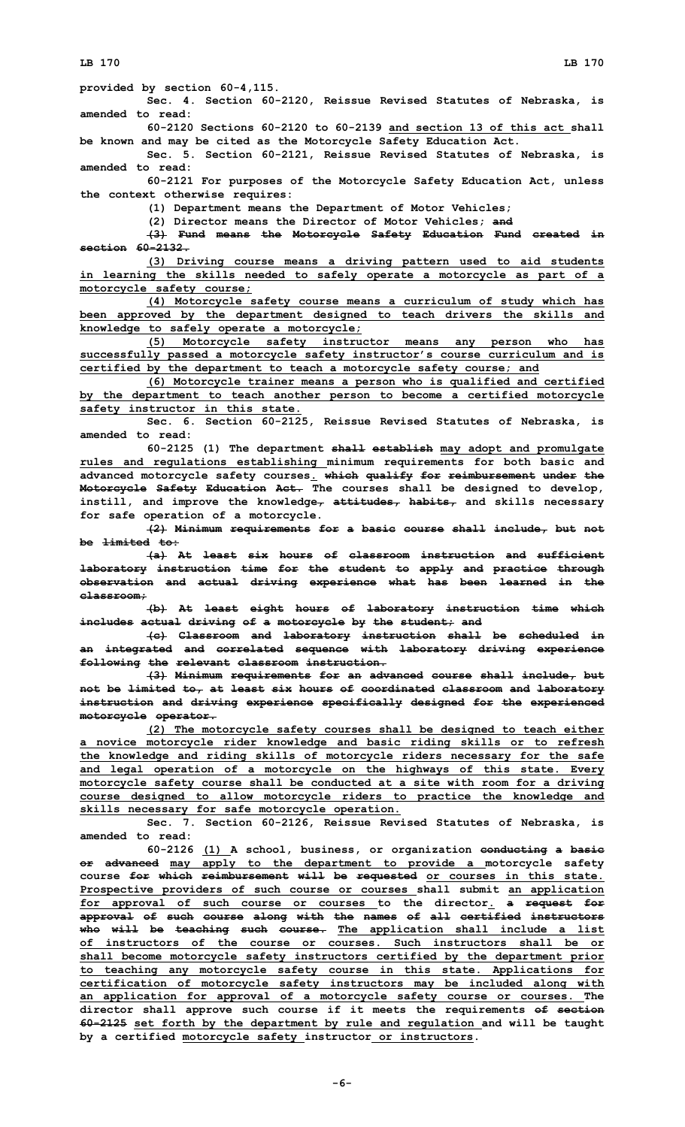**Sec. 4. Section 60-2120, Reissue Revised Statutes of Nebraska, is amended to read:**

**60-2120 Sections 60-2120 to 60-2139 and section 13 of this act shall be known and may be cited as the Motorcycle Safety Education Act.**

**Sec. 5. Section 60-2121, Reissue Revised Statutes of Nebraska, is amended to read:**

**60-2121 For purposes of the Motorcycle Safety Education Act, unless the context otherwise requires:**

**(1) Department means the Department of Motor Vehicles;**

**(2) Director means the Director of Motor Vehicles; and**

**(3) Fund means the Motorcycle Safety Education Fund created in section 60-2132.**

**(3) Driving course means <sup>a</sup> driving pattern used to aid students in learning the skills needed to safely operate <sup>a</sup> motorcycle as part of <sup>a</sup> motorcycle safety course;**

**(4) Motorcycle safety course means <sup>a</sup> curriculum of study which has been approved by the department designed to teach drivers the skills and knowledge to safely operate <sup>a</sup> motorcycle;**

**(5) Motorcycle safety instructor means any person who has successfully passed <sup>a</sup> motorcycle safety instructor's course curriculum and is certified by the department to teach <sup>a</sup> motorcycle safety course; and**

**(6) Motorcycle trainer means <sup>a</sup> person who is qualified and certified by the department to teach another person to become <sup>a</sup> certified motorcycle safety instructor in this state.**

**Sec. 6. Section 60-2125, Reissue Revised Statutes of Nebraska, is amended to read:**

**60-2125 (1) The department shall establish may adopt and promulgate rules and regulations establishing minimum requirements for both basic and advanced motorcycle safety courses. which qualify for reimbursement under the Motorcycle Safety Education Act. The courses shall be designed to develop, instill, and improve the knowledge, attitudes, habits, and skills necessary for safe operation of <sup>a</sup> motorcycle.**

**(2) Minimum requirements for <sup>a</sup> basic course shall include, but not be limited to:**

**(a) At least six hours of classroom instruction and sufficient laboratory instruction time for the student to apply and practice through observation and actual driving experience what has been learned in the classroom;**

**(b) At least eight hours of laboratory instruction time which includes actual driving of <sup>a</sup> motorcycle by the student; and**

**(c) Classroom and laboratory instruction shall be scheduled in an integrated and correlated sequence with laboratory driving experience following the relevant classroom instruction.**

**(3) Minimum requirements for an advanced course shall include, but not be limited to, at least six hours of coordinated classroom and laboratory instruction and driving experience specifically designed for the experienced motorcycle operator.**

**(2) The motorcycle safety courses shall be designed to teach either <sup>a</sup> novice motorcycle rider knowledge and basic riding skills or to refresh the knowledge and riding skills of motorcycle riders necessary for the safe and legal operation of <sup>a</sup> motorcycle on the highways of this state. Every motorcycle safety course shall be conducted at <sup>a</sup> site with room for <sup>a</sup> driving course designed to allow motorcycle riders to practice the knowledge and skills necessary for safe motorcycle operation.**

**Sec. 7. Section 60-2126, Reissue Revised Statutes of Nebraska, is amended to read:**

**60-2126 (1) <sup>A</sup> school, business, or organization conducting <sup>a</sup> basic or advanced may apply to the department to provide <sup>a</sup> motorcycle safety course for which reimbursement will be requested or courses in this state. Prospective providers of such course or courses shall submit an application for approval of such course or courses to the director. <sup>a</sup> request for approval of such course along with the names of all certified instructors who will be teaching such course. The application shall include <sup>a</sup> list of instructors of the course or courses. Such instructors shall be or shall become motorcycle safety instructors certified by the department prior to teaching any motorcycle safety course in this state. Applications for certification of motorcycle safety instructors may be included along with an application for approval of <sup>a</sup> motorcycle safety course or courses. The director shall approve such course if it meets the requirements of section 60-2125 set forth by the department by rule and regulation and will be taught by <sup>a</sup> certified motorcycle safety instructor or instructors.**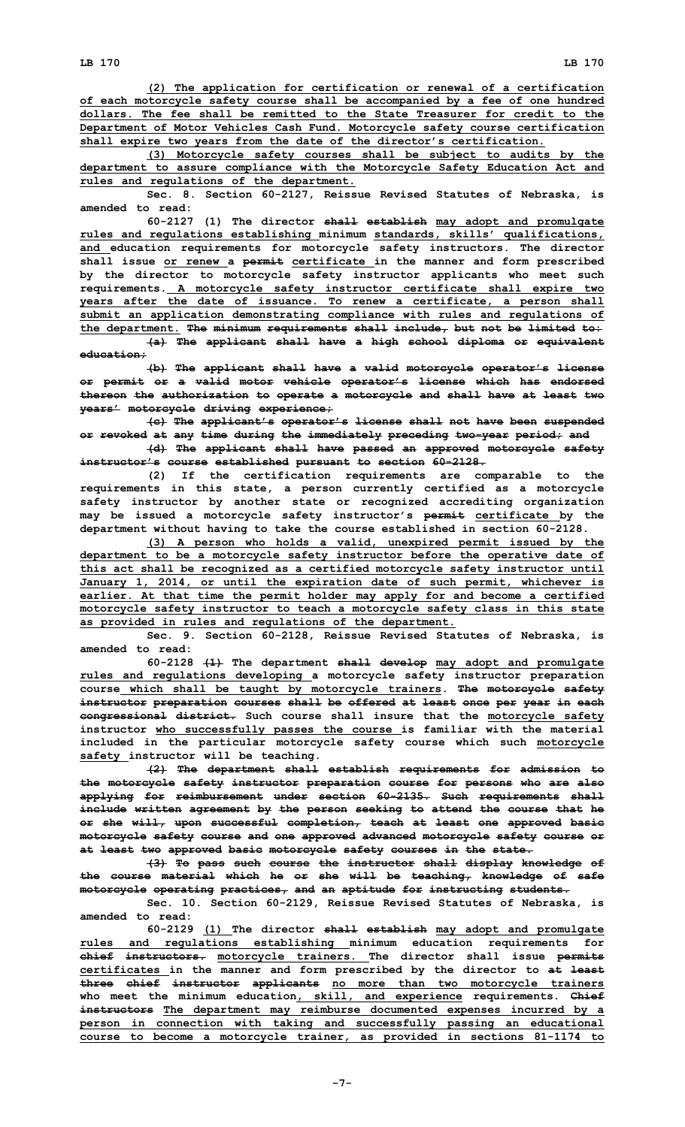**(2) The application for certification or renewal of <sup>a</sup> certification of each motorcycle safety course shall be accompanied by <sup>a</sup> fee of one hundred dollars. The fee shall be remitted to the State Treasurer for credit to the Department of Motor Vehicles Cash Fund. Motorcycle safety course certification shall expire two years from the date of the director's certification.**

**(3) Motorcycle safety courses shall be subject to audits by the department to assure compliance with the Motorcycle Safety Education Act and rules and regulations of the department.**

**Sec. 8. Section 60-2127, Reissue Revised Statutes of Nebraska, is amended to read:**

**60-2127 (1) The director shall establish may adopt and promulgate rules and regulations establishing minimum standards, skills' qualifications, and education requirements for motorcycle safety instructors. The director shall issue or renew <sup>a</sup> permit certificate in the manner and form prescribed by the director to motorcycle safety instructor applicants who meet such requirements. A motorcycle safety instructor certificate shall expire two years after the date of issuance. To renew <sup>a</sup> certificate, <sup>a</sup> person shall submit an application demonstrating compliance with rules and regulations of the department. The minimum requirements shall include, but not be limited to:**

**(a) The applicant shall have <sup>a</sup> high school diploma or equivalent education;**

**(b) The applicant shall have <sup>a</sup> valid motorcycle operator's license or permit or <sup>a</sup> valid motor vehicle operator's license which has endorsed thereon the authorization to operate <sup>a</sup> motorcycle and shall have at least two years' motorcycle driving experience;**

**(c) The applicant's operator's license shall not have been suspended or revoked at any time during the immediately preceding two-year period; and**

**(d) The applicant shall have passed an approved motorcycle safety instructor's course established pursuant to section 60-2128.**

**(2) If the certification requirements are comparable to the requirements in this state, <sup>a</sup> person currently certified as <sup>a</sup> motorcycle safety instructor by another state or recognized accrediting organization may be issued <sup>a</sup> motorcycle safety instructor's permit certificate by the department without having to take the course established in section 60-2128.**

**(3) <sup>A</sup> person who holds <sup>a</sup> valid, unexpired permit issued by the department to be <sup>a</sup> motorcycle safety instructor before the operative date of this act shall be recognized as <sup>a</sup> certified motorcycle safety instructor until January 1, 2014, or until the expiration date of such permit, whichever is earlier. At that time the permit holder may apply for and become <sup>a</sup> certified motorcycle safety instructor to teach <sup>a</sup> motorcycle safety class in this state as provided in rules and regulations of the department.**

**Sec. 9. Section 60-2128, Reissue Revised Statutes of Nebraska, is amended to read:**

**60-2128 (1) The department shall develop may adopt and promulgate rules and regulations developing <sup>a</sup> motorcycle safety instructor preparation course which shall be taught by motorcycle trainers. The motorcycle safety instructor preparation courses shall be offered at least once per year in each congressional district. Such course shall insure that the motorcycle safety instructor who successfully passes the course is familiar with the material included in the particular motorcycle safety course which such motorcycle safety instructor will be teaching.**

**(2) The department shall establish requirements for admission to the motorcycle safety instructor preparation course for persons who are also applying for reimbursement under section 60-2135. Such requirements shall include written agreement by the person seeking to attend the course that he or she will, upon successful completion, teach at least one approved basic motorcycle safety course and one approved advanced motorcycle safety course or at least two approved basic motorcycle safety courses in the state.**

**(3) To pass such course the instructor shall display knowledge of the course material which he or she will be teaching, knowledge of safe motorcycle operating practices, and an aptitude for instructing students.**

**Sec. 10. Section 60-2129, Reissue Revised Statutes of Nebraska, is amended to read:**

**60-2129 (1) The director shall establish may adopt and promulgate rules and regulations establishing minimum education requirements for chief instructors. motorcycle trainers. The director shall issue permits certificates in the manner and form prescribed by the director to at least three chief instructor applicants no more than two motorcycle trainers who meet the minimum education, skill, and experience requirements. Chief instructors The department may reimburse documented expenses incurred by <sup>a</sup> person in connection with taking and successfully passing an educational course to become <sup>a</sup> motorcycle trainer, as provided in sections 81-1174 to**